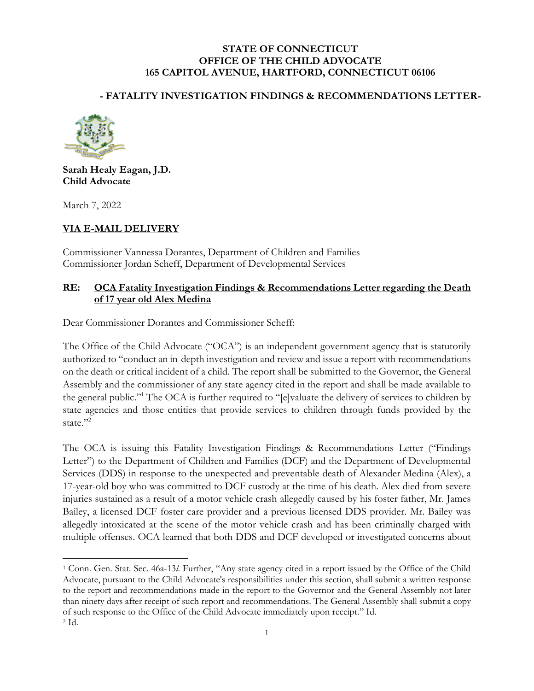#### **STATE OF CONNECTICUT OFFICE OF THE CHILD ADVOCATE 165 CAPITOL AVENUE, HARTFORD, CONNECTICUT 06106**

### **- FATALITY INVESTIGATION FINDINGS & RECOMMENDATIONS LETTER-**



**Sarah Healy Eagan, J.D. Child Advocate**

March 7, 2022

### **VIA E-MAIL DELIVERY**

Commissioner Vannessa Dorantes, Department of Children and Families Commissioner Jordan Scheff, Department of Developmental Services

#### **RE: OCA Fatality Investigation Findings & Recommendations Letter regarding the Death of 17 year old Alex Medina**

Dear Commissioner Dorantes and Commissioner Scheff:

The Office of the Child Advocate ("OCA") is an independent government agency that is statutorily authorized to "conduct an in-depth investigation and review and issue a report with recommendations on the death or critical incident of a child. The report shall be submitted to the Governor, the General Assembly and the commissioner of any state agency cited in the report and shall be made available to the general public."<sup>1</sup> The OCA is further required to "[e]valuate the delivery of services to children by state agencies and those entities that provide services to children through funds provided by the state."2

The OCA is issuing this Fatality Investigation Findings & Recommendations Letter ("Findings Letter") to the Department of Children and Families (DCF) and the Department of Developmental Services (DDS) in response to the unexpected and preventable death of Alexander Medina (Alex), a 17-year-old boy who was committed to DCF custody at the time of his death. Alex died from severe injuries sustained as a result of a motor vehicle crash allegedly caused by his foster father, Mr. James Bailey, a licensed DCF foster care provider and a previous licensed DDS provider. Mr. Bailey was allegedly intoxicated at the scene of the motor vehicle crash and has been criminally charged with multiple offenses. OCA learned that both DDS and DCF developed or investigated concerns about

<sup>1</sup> Conn. Gen. Stat. Sec. 46a-13*l*. Further, "Any state agency cited in a report issued by the Office of the Child Advocate, pursuant to the Child Advocate's responsibilities under this section, shall submit a written response to the report and recommendations made in the report to the Governor and the General Assembly not later than ninety days after receipt of such report and recommendations. The General Assembly shall submit a copy of such response to the Office of the Child Advocate immediately upon receipt." Id.  $2$  Id.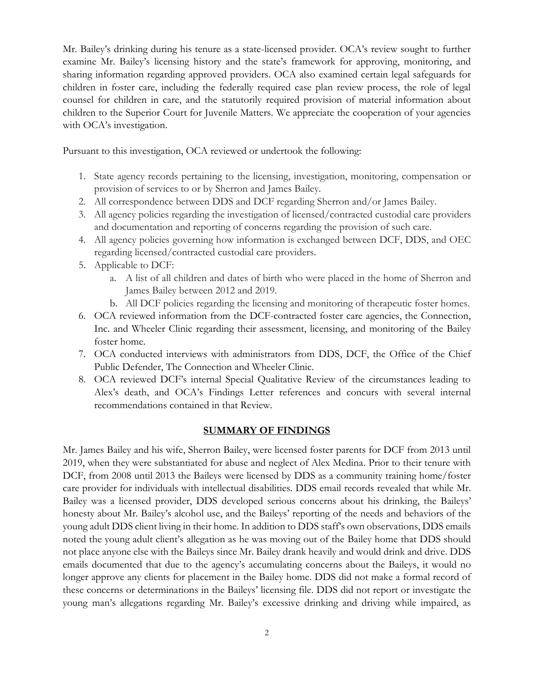Mr. Bailey's drinking during his tenure as a state-licensed provider. OCA's review sought to further examine Mr. Bailey's licensing history and the state's framework for approving, monitoring, and sharing information regarding approved providers. OCA also examined certain legal safeguards for children in foster care, including the federally required case plan review process, the role of legal counsel for children in care, and the statutorily required provision of material information about children to the Superior Court for Juvenile Matters. We appreciate the cooperation of your agencies with OCA's investigation.

Pursuant to this investigation, OCA reviewed or undertook the following:

- 1. State agency records pertaining to the licensing, investigation, monitoring, compensation or provision of services to or by Sherron and James Bailey.
- 2. All correspondence between DDS and DCF regarding Sherron and/or James Bailey.
- 3. All agency policies regarding the investigation of licensed/contracted custodial care providers and documentation and reporting of concerns regarding the provision of such care.
- 4. All agency policies governing how information is exchanged between DCF, DDS, and OEC regarding licensed/contracted custodial care providers.
- 5. Applicable to DCF:
	- a. A list of all children and dates of birth who were placed in the home of Sherron and James Bailey between 2012 and 2019.
	- b. All DCF policies regarding the licensing and monitoring of therapeutic foster homes.
- 6. OCA reviewed information from the DCF-contracted foster care agencies, the Connection, Inc. and Wheeler Clinic regarding their assessment, licensing, and monitoring of the Bailey foster home.
- 7. OCA conducted interviews with administrators from DDS, DCF, the Office of the Chief Public Defender, The Connection and Wheeler Clinic.
- 8. OCA reviewed DCF's internal Special Qualitative Review of the circumstances leading to Alex's death, and OCA's Findings Letter references and concurs with several internal recommendations contained in that Review.

#### **SUMMARY OF FINDINGS**

Mr. James Bailey and his wife, Sherron Bailey, were licensed foster parents for DCF from 2013 until 2019, when they were substantiated for abuse and neglect of Alex Medina. Prior to their tenure with DCF, from 2008 until 2013 the Baileys were licensed by DDS as a community training home/foster care provider for individuals with intellectual disabilities. DDS email records revealed that while Mr. Bailey was a licensed provider, DDS developed serious concerns about his drinking, the Baileys' honesty about Mr. Bailey's alcohol use, and the Baileys' reporting of the needs and behaviors of the young adult DDS client living in their home. In addition to DDS staff's own observations, DDS emails noted the young adult client's allegation as he was moving out of the Bailey home that DDS should not place anyone else with the Baileys since Mr. Bailey drank heavily and would drink and drive. DDS emails documented that due to the agency's accumulating concerns about the Baileys, it would no longer approve any clients for placement in the Bailey home. DDS did not make a formal record of these concerns or determinations in the Baileys' licensing file. DDS did not report or investigate the young man's allegations regarding Mr. Bailey's excessive drinking and driving while impaired, as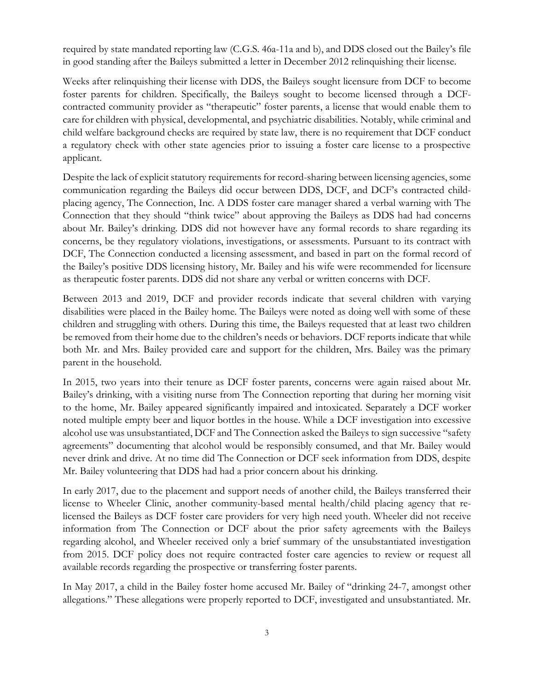required by state mandated reporting law (C.G.S. 46a-11a and b), and DDS closed out the Bailey's file in good standing after the Baileys submitted a letter in December 2012 relinquishing their license.

Weeks after relinquishing their license with DDS, the Baileys sought licensure from DCF to become foster parents for children. Specifically, the Baileys sought to become licensed through a DCFcontracted community provider as "therapeutic" foster parents, a license that would enable them to care for children with physical, developmental, and psychiatric disabilities. Notably, while criminal and child welfare background checks are required by state law, there is no requirement that DCF conduct a regulatory check with other state agencies prior to issuing a foster care license to a prospective applicant.

Despite the lack of explicit statutory requirements for record-sharing between licensing agencies, some communication regarding the Baileys did occur between DDS, DCF, and DCF's contracted childplacing agency, The Connection, Inc. A DDS foster care manager shared a verbal warning with The Connection that they should "think twice" about approving the Baileys as DDS had had concerns about Mr. Bailey's drinking. DDS did not however have any formal records to share regarding its concerns, be they regulatory violations, investigations, or assessments. Pursuant to its contract with DCF, The Connection conducted a licensing assessment, and based in part on the formal record of the Bailey's positive DDS licensing history, Mr. Bailey and his wife were recommended for licensure as therapeutic foster parents. DDS did not share any verbal or written concerns with DCF.

Between 2013 and 2019, DCF and provider records indicate that several children with varying disabilities were placed in the Bailey home. The Baileys were noted as doing well with some of these children and struggling with others. During this time, the Baileys requested that at least two children be removed from their home due to the children's needs or behaviors. DCF reports indicate that while both Mr. and Mrs. Bailey provided care and support for the children, Mrs. Bailey was the primary parent in the household.

In 2015, two years into their tenure as DCF foster parents, concerns were again raised about Mr. Bailey's drinking, with a visiting nurse from The Connection reporting that during her morning visit to the home, Mr. Bailey appeared significantly impaired and intoxicated. Separately a DCF worker noted multiple empty beer and liquor bottles in the house. While a DCF investigation into excessive alcohol use was unsubstantiated, DCF and The Connection asked the Baileys to sign successive "safety agreements" documenting that alcohol would be responsibly consumed, and that Mr. Bailey would never drink and drive. At no time did The Connection or DCF seek information from DDS, despite Mr. Bailey volunteering that DDS had had a prior concern about his drinking.

In early 2017, due to the placement and support needs of another child, the Baileys transferred their license to Wheeler Clinic, another community-based mental health/child placing agency that relicensed the Baileys as DCF foster care providers for very high need youth. Wheeler did not receive information from The Connection or DCF about the prior safety agreements with the Baileys regarding alcohol, and Wheeler received only a brief summary of the unsubstantiated investigation from 2015. DCF policy does not require contracted foster care agencies to review or request all available records regarding the prospective or transferring foster parents.

In May 2017, a child in the Bailey foster home accused Mr. Bailey of "drinking 24-7, amongst other allegations." These allegations were properly reported to DCF, investigated and unsubstantiated. Mr.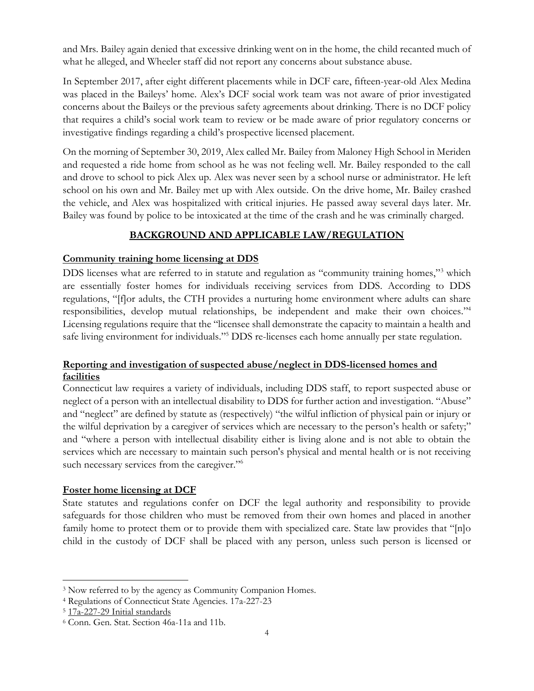and Mrs. Bailey again denied that excessive drinking went on in the home, the child recanted much of what he alleged, and Wheeler staff did not report any concerns about substance abuse.

In September 2017, after eight different placements while in DCF care, fifteen-year-old Alex Medina was placed in the Baileys' home. Alex's DCF social work team was not aware of prior investigated concerns about the Baileys or the previous safety agreements about drinking. There is no DCF policy that requires a child's social work team to review or be made aware of prior regulatory concerns or investigative findings regarding a child's prospective licensed placement.

On the morning of September 30, 2019, Alex called Mr. Bailey from Maloney High School in Meriden and requested a ride home from school as he was not feeling well. Mr. Bailey responded to the call and drove to school to pick Alex up. Alex was never seen by a school nurse or administrator. He left school on his own and Mr. Bailey met up with Alex outside. On the drive home, Mr. Bailey crashed the vehicle, and Alex was hospitalized with critical injuries. He passed away several days later. Mr. Bailey was found by police to be intoxicated at the time of the crash and he was criminally charged.

# **BACKGROUND AND APPLICABLE LAW/REGULATION**

### **Community training home licensing at DDS**

DDS licenses what are referred to in statute and regulation as "community training homes,"<sup>3</sup> which are essentially foster homes for individuals receiving services from DDS. According to DDS regulations, "[f]or adults, the CTH provides a nurturing home environment where adults can share responsibilities, develop mutual relationships, be independent and make their own choices." 4 Licensing regulations require that the "licensee shall demonstrate the capacity to maintain a health and safe living environment for individuals."<sup>5</sup> DDS re-licenses each home annually per state regulation.

### **Reporting and investigation of suspected abuse/neglect in DDS-licensed homes and facilities**

Connecticut law requires a variety of individuals, including DDS staff, to report suspected abuse or neglect of a person with an intellectual disability to DDS for further action and investigation. "Abuse" and "neglect" are defined by statute as (respectively) "the wilful infliction of physical pain or injury or the wilful deprivation by a caregiver of services which are necessary to the person's health or safety;" and "where a person with intellectual disability either is living alone and is not able to obtain the services which are necessary to maintain such person's physical and mental health or is not receiving such necessary services from the caregiver."<sup>6</sup>

#### **Foster home licensing at DCF**

State statutes and regulations confer on DCF the legal authority and responsibility to provide safeguards for those children who must be removed from their own homes and placed in another family home to protect them or to provide them with specialized care. State law provides that "[n]o child in the custody of DCF shall be placed with any person, unless such person is licensed or

<sup>&</sup>lt;sup>3</sup> Now referred to by the agency as Community Companion Homes.

<sup>4</sup> Regulations of Connecticut State Agencies. 17a-227-23

<sup>5</sup> [17a-227-29](http://eregulations.ct.gov/eRegsPortal/Browse/RCSA/Title_17aSubtitle_17a-227Section_17a-227-29/) Initial standards

<sup>6</sup> Conn. Gen. Stat. Section 46a-11a and 11b.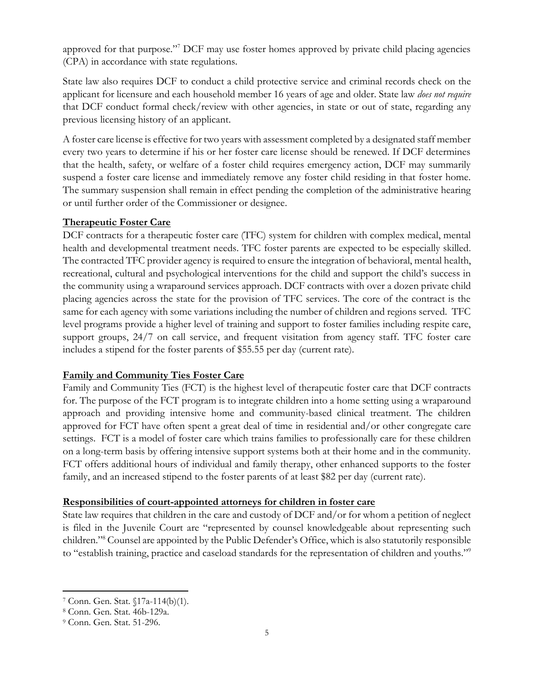approved for that purpose."<sup>7</sup> DCF may use foster homes approved by private child placing agencies (CPA) in accordance with state regulations.

State law also requires DCF to conduct a child protective service and criminal records check on the applicant for licensure and each household member 16 years of age and older. State law *does not require* that DCF conduct formal check/review with other agencies, in state or out of state, regarding any previous licensing history of an applicant.

A foster care license is effective for two years with assessment completed by a designated staff member every two years to determine if his or her foster care license should be renewed. If DCF determines that the health, safety, or welfare of a foster child requires emergency action, DCF may summarily suspend a foster care license and immediately remove any foster child residing in that foster home. The summary suspension shall remain in effect pending the completion of the administrative hearing or until further order of the Commissioner or designee.

#### **Therapeutic Foster Care**

DCF contracts for a therapeutic foster care (TFC) system for children with complex medical, mental health and developmental treatment needs. TFC foster parents are expected to be especially skilled. The contracted TFC provider agency is required to ensure the integration of behavioral, mental health, recreational, cultural and psychological interventions for the child and support the child's success in the community using a wraparound services approach. DCF contracts with over a dozen private child placing agencies across the state for the provision of TFC services. The core of the contract is the same for each agency with some variations including the number of children and regions served. TFC level programs provide a higher level of training and support to foster families including respite care, support groups, 24/7 on call service, and frequent visitation from agency staff. TFC foster care includes a stipend for the foster parents of \$55.55 per day (current rate).

#### **Family and Community Ties Foster Care**

Family and Community Ties (FCT) is the highest level of therapeutic foster care that DCF contracts for. The purpose of the FCT program is to integrate children into a home setting using a wraparound approach and providing intensive home and community-based clinical treatment. The children approved for FCT have often spent a great deal of time in residential and/or other congregate care settings. FCT is a model of foster care which trains families to professionally care for these children on a long-term basis by offering intensive support systems both at their home and in the community. FCT offers additional hours of individual and family therapy, other enhanced supports to the foster family, and an increased stipend to the foster parents of at least \$82 per day (current rate).

#### **Responsibilities of court-appointed attorneys for children in foster care**

State law requires that children in the care and custody of DCF and/or for whom a petition of neglect is filed in the Juvenile Court are "represented by counsel knowledgeable about representing such children."<sup>8</sup> Counsel are appointed by the Public Defender's Office, which is also statutorily responsible to "establish training, practice and caseload standards for the representation of children and youths."<sup>9</sup>

<sup>7</sup> Conn. Gen. Stat. §17a-114(b)(1).

<sup>8</sup> Conn. Gen. Stat. 46b-129a.

<sup>9</sup> Conn. Gen. Stat. 51-296.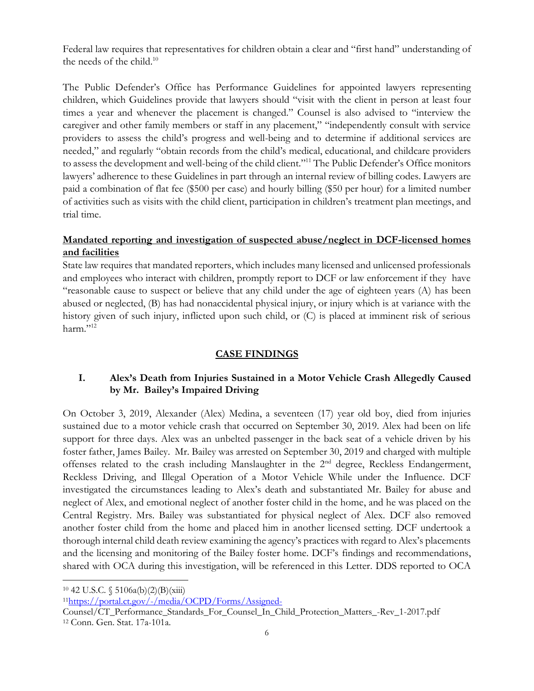Federal law requires that representatives for children obtain a clear and "first hand" understanding of the needs of the child.<sup>10</sup>

The Public Defender's Office has Performance Guidelines for appointed lawyers representing children, which Guidelines provide that lawyers should "visit with the client in person at least four times a year and whenever the placement is changed." Counsel is also advised to "interview the caregiver and other family members or staff in any placement," "independently consult with service providers to assess the child's progress and well-being and to determine if additional services are needed," and regularly "obtain records from the child's medical, educational, and childcare providers to assess the development and well-being of the child client."<sup>11</sup> The Public Defender's Office monitors lawyers' adherence to these Guidelines in part through an internal review of billing codes. Lawyers are paid a combination of flat fee (\$500 per case) and hourly billing (\$50 per hour) for a limited number of activities such as visits with the child client, participation in children's treatment plan meetings, and trial time.

### **Mandated reporting and investigation of suspected abuse/neglect in DCF-licensed homes and facilities**

State law requires that mandated reporters, which includes many licensed and unlicensed professionals and employees who interact with children, promptly report to DCF or law enforcement if they have "reasonable cause to suspect or believe that any child under the age of eighteen years (A) has been abused or neglected, (B) has had nonaccidental physical injury, or injury which is at variance with the history given of such injury, inflicted upon such child, or (C) is placed at imminent risk of serious harm."12

### **CASE FINDINGS**

#### **I. Alex's Death from Injuries Sustained in a Motor Vehicle Crash Allegedly Caused by Mr. Bailey's Impaired Driving**

On October 3, 2019, Alexander (Alex) Medina, a seventeen (17) year old boy, died from injuries sustained due to a motor vehicle crash that occurred on September 30, 2019. Alex had been on life support for three days. Alex was an unbelted passenger in the back seat of a vehicle driven by his foster father, James Bailey. Mr. Bailey was arrested on September 30, 2019 and charged with multiple offenses related to the crash including Manslaughter in the 2<sup>nd</sup> degree, Reckless Endangerment, Reckless Driving, and Illegal Operation of a Motor Vehicle While under the Influence. DCF investigated the circumstances leading to Alex's death and substantiated Mr. Bailey for abuse and neglect of Alex, and emotional neglect of another foster child in the home, and he was placed on the Central Registry. Mrs. Bailey was substantiated for physical neglect of Alex. DCF also removed another foster child from the home and placed him in another licensed setting. DCF undertook a thorough internal child death review examining the agency's practices with regard to Alex's placements and the licensing and monitoring of the Bailey foster home. DCF's findings and recommendations, shared with OCA during this investigation, will be referenced in this Letter. DDS reported to OCA

 $10\,42\,$  U.S.C.  $\frac{6}{3}\,5106a(b)(2)(B)(xiii)$ 

11<https://portal.ct.gov/-/media/OCPD/Forms/Assigned->

Counsel/CT\_Performance\_Standards\_For\_Counsel\_In\_Child\_Protection\_Matters\_-Rev\_1-2017.pdf <sup>12</sup> Conn. Gen. Stat. 17a-101a.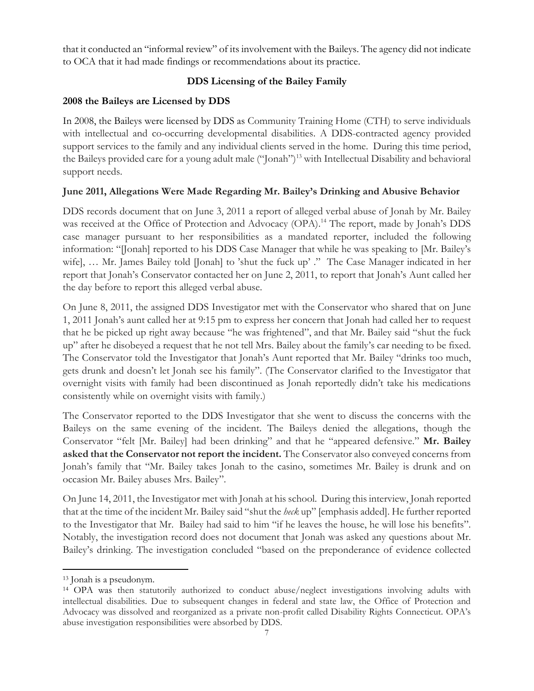that it conducted an "informal review" of its involvement with the Baileys. The agency did not indicate to OCA that it had made findings or recommendations about its practice.

## **DDS Licensing of the Bailey Family**

### **2008 the Baileys are Licensed by DDS**

In 2008, the Baileys were licensed by DDS as Community Training Home (CTH) to serve individuals with intellectual and co-occurring developmental disabilities. A DDS-contracted agency provided support services to the family and any individual clients served in the home. During this time period, the Baileys provided care for a young adult male ("Jonah")<sup>13</sup> with Intellectual Disability and behavioral support needs.

### **June 2011, Allegations Were Made Regarding Mr. Bailey's Drinking and Abusive Behavior**

DDS records document that on June 3, 2011 a report of alleged verbal abuse of Jonah by Mr. Bailey was received at the Office of Protection and Advocacy (OPA).<sup>14</sup> The report, made by Jonah's DDS case manager pursuant to her responsibilities as a mandated reporter, included the following information: "[Jonah] reported to his DDS Case Manager that while he was speaking to [Mr. Bailey's wife], … Mr. James Bailey told [Jonah] to 'shut the fuck up' ." The Case Manager indicated in her report that Jonah's Conservator contacted her on June 2, 2011, to report that Jonah's Aunt called her the day before to report this alleged verbal abuse.

On June 8, 2011, the assigned DDS Investigator met with the Conservator who shared that on June 1, 2011 Jonah's aunt called her at 9:15 pm to express her concern that Jonah had called her to request that he be picked up right away because "he was frightened", and that Mr. Bailey said "shut the fuck up" after he disobeyed a request that he not tell Mrs. Bailey about the family's car needing to be fixed. The Conservator told the Investigator that Jonah's Aunt reported that Mr. Bailey "drinks too much, gets drunk and doesn't let Jonah see his family". (The Conservator clarified to the Investigator that overnight visits with family had been discontinued as Jonah reportedly didn't take his medications consistently while on overnight visits with family.)

The Conservator reported to the DDS Investigator that she went to discuss the concerns with the Baileys on the same evening of the incident. The Baileys denied the allegations, though the Conservator "felt [Mr. Bailey] had been drinking" and that he "appeared defensive." **Mr. Bailey asked that the Conservator not report the incident.** The Conservator also conveyed concerns from Jonah's family that "Mr. Bailey takes Jonah to the casino, sometimes Mr. Bailey is drunk and on occasion Mr. Bailey abuses Mrs. Bailey".

On June 14, 2011, the Investigator met with Jonah at his school. During this interview, Jonah reported that at the time of the incident Mr. Bailey said "shut the *heck* up" [emphasis added]. He further reported to the Investigator that Mr. Bailey had said to him "if he leaves the house, he will lose his benefits". Notably, the investigation record does not document that Jonah was asked any questions about Mr. Bailey's drinking. The investigation concluded "based on the preponderance of evidence collected

<sup>13</sup> Jonah is a pseudonym.

<sup>14</sup> OPA was then statutorily authorized to conduct abuse/neglect investigations involving adults with intellectual disabilities. Due to subsequent changes in federal and state law, the Office of Protection and Advocacy was dissolved and reorganized as a private non-profit called Disability Rights Connecticut. OPA's abuse investigation responsibilities were absorbed by DDS.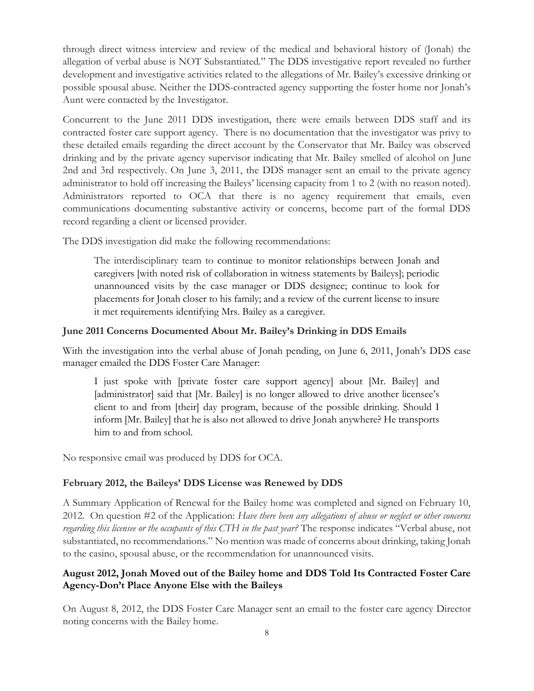through direct witness interview and review of the medical and behavioral history of (Jonah) the allegation of verbal abuse is NOT Substantiated." The DDS investigative report revealed no further development and investigative activities related to the allegations of Mr. Bailey's excessive drinking or possible spousal abuse. Neither the DDS-contracted agency supporting the foster home nor Jonah's Aunt were contacted by the Investigator.

Concurrent to the June 2011 DDS investigation, there were emails between DDS staff and its contracted foster care support agency. There is no documentation that the investigator was privy to these detailed emails regarding the direct account by the Conservator that Mr. Bailey was observed drinking and by the private agency supervisor indicating that Mr. Bailey smelled of alcohol on June 2nd and 3rd respectively. On June 3, 2011, the DDS manager sent an email to the private agency administrator to hold off increasing the Baileys' licensing capacity from 1 to 2 (with no reason noted). Administrators reported to OCA that there is no agency requirement that emails, even communications documenting substantive activity or concerns, become part of the formal DDS record regarding a client or licensed provider.

The DDS investigation did make the following recommendations:

The interdisciplinary team to continue to monitor relationships between Jonah and caregivers [with noted risk of collaboration in witness statements by Baileys]; periodic unannounced visits by the case manager or DDS designee; continue to look for placements for Jonah closer to his family; and a review of the current license to insure it met requirements identifying Mrs. Bailey as a caregiver.

#### **June 2011 Concerns Documented About Mr. Bailey's Drinking in DDS Emails**

With the investigation into the verbal abuse of Jonah pending, on June 6, 2011, Jonah's DDS case manager emailed the DDS Foster Care Manager:

I just spoke with [private foster care support agency] about [Mr. Bailey] and [administrator] said that [Mr. Bailey] is no longer allowed to drive another licensee's client to and from [their] day program, because of the possible drinking. Should I inform [Mr. Bailey] that he is also not allowed to drive Jonah anywhere? He transports him to and from school.

No responsive email was produced by DDS for OCA.

#### **February 2012, the Baileys' DDS License was Renewed by DDS**

A Summary Application of Renewal for the Bailey home was completed and signed on February 10, 2012. On question #2 of the Application: *Have there been any allegations of abuse or neglect or other concerns regarding this licensee or the occupants of this CTH in the past year?* The response indicates "Verbal abuse, not substantiated, no recommendations." No mention was made of concerns about drinking, taking Jonah to the casino, spousal abuse, or the recommendation for unannounced visits.

### **August 2012, Jonah Moved out of the Bailey home and DDS Told Its Contracted Foster Care Agency-Don't Place Anyone Else with the Baileys**

On August 8, 2012, the DDS Foster Care Manager sent an email to the foster care agency Director noting concerns with the Bailey home.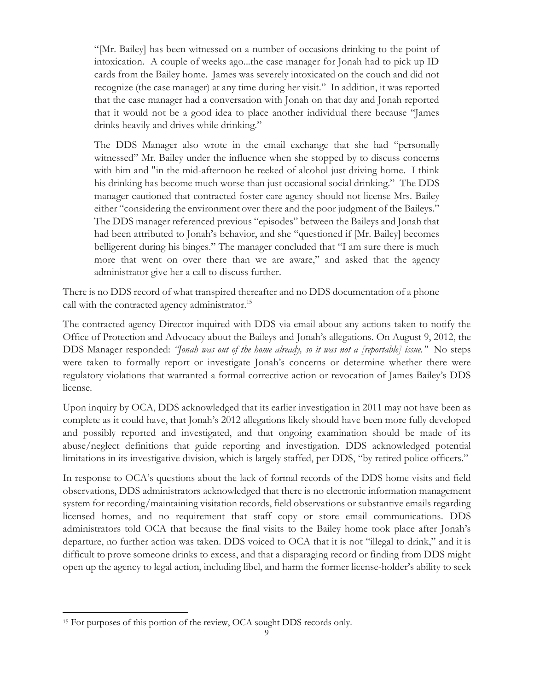"[Mr. Bailey] has been witnessed on a number of occasions drinking to the point of intoxication. A couple of weeks ago...the case manager for Jonah had to pick up ID cards from the Bailey home. James was severely intoxicated on the couch and did not recognize (the case manager) at any time during her visit." In addition, it was reported that the case manager had a conversation with Jonah on that day and Jonah reported that it would not be a good idea to place another individual there because "James drinks heavily and drives while drinking."

The DDS Manager also wrote in the email exchange that she had "personally witnessed" Mr. Bailey under the influence when she stopped by to discuss concerns with him and "in the mid-afternoon he reeked of alcohol just driving home. I think his drinking has become much worse than just occasional social drinking." The DDS manager cautioned that contracted foster care agency should not license Mrs. Bailey either "considering the environment over there and the poor judgment of the Baileys." The DDS manager referenced previous "episodes" between the Baileys and Jonah that had been attributed to Jonah's behavior, and she "questioned if [Mr. Bailey] becomes belligerent during his binges." The manager concluded that "I am sure there is much more that went on over there than we are aware," and asked that the agency administrator give her a call to discuss further.

There is no DDS record of what transpired thereafter and no DDS documentation of a phone call with the contracted agency administrator.<sup>15</sup>

The contracted agency Director inquired with DDS via email about any actions taken to notify the Office of Protection and Advocacy about the Baileys and Jonah's allegations. On August 9, 2012, the DDS Manager responded: *"Jonah was out of the home already, so it was not a [reportable] issue."* No steps were taken to formally report or investigate Jonah's concerns or determine whether there were regulatory violations that warranted a formal corrective action or revocation of James Bailey's DDS license.

Upon inquiry by OCA, DDS acknowledged that its earlier investigation in 2011 may not have been as complete as it could have, that Jonah's 2012 allegations likely should have been more fully developed and possibly reported and investigated, and that ongoing examination should be made of its abuse/neglect definitions that guide reporting and investigation. DDS acknowledged potential limitations in its investigative division, which is largely staffed, per DDS, "by retired police officers."

In response to OCA's questions about the lack of formal records of the DDS home visits and field observations, DDS administrators acknowledged that there is no electronic information management system for recording/maintaining visitation records, field observations or substantive emails regarding licensed homes, and no requirement that staff copy or store email communications. DDS administrators told OCA that because the final visits to the Bailey home took place after Jonah's departure, no further action was taken. DDS voiced to OCA that it is not "illegal to drink," and it is difficult to prove someone drinks to excess, and that a disparaging record or finding from DDS might open up the agency to legal action, including libel, and harm the former license-holder's ability to seek

<sup>&</sup>lt;sup>15</sup> For purposes of this portion of the review, OCA sought DDS records only.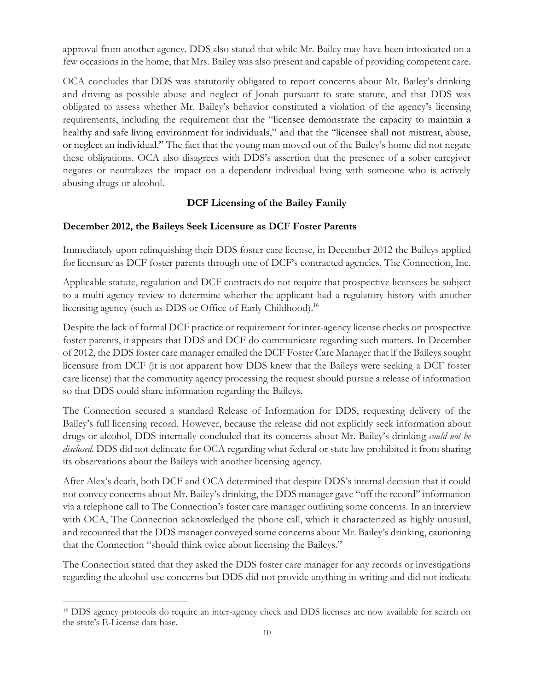approval from another agency. DDS also stated that while Mr. Bailey may have been intoxicated on a few occasions in the home, that Mrs. Bailey was also present and capable of providing competent care.

OCA concludes that DDS was statutorily obligated to report concerns about Mr. Bailey's drinking and driving as possible abuse and neglect of Jonah pursuant to state statute, and that DDS was obligated to assess whether Mr. Bailey's behavior constituted a violation of the agency's licensing requirements, including the requirement that the "licensee demonstrate the capacity to maintain a healthy and safe living environment for individuals," and that the "licensee shall not mistreat, abuse, or neglect an individual." The fact that the young man moved out of the Bailey's home did not negate these obligations. OCA also disagrees with DDS's assertion that the presence of a sober caregiver negates or neutralizes the impact on a dependent individual living with someone who is actively abusing drugs or alcohol.

#### **DCF Licensing of the Bailey Family**

#### **December 2012, the Baileys Seek Licensure as DCF Foster Parents**

Immediately upon relinquishing their DDS foster care license, in December 2012 the Baileys applied for licensure as DCF foster parents through one of DCF's contracted agencies, The Connection, Inc.

Applicable statute, regulation and DCF contracts do not require that prospective licensees be subject to a multi-agency review to determine whether the applicant had a regulatory history with another licensing agency (such as DDS or Office of Early Childhood).<sup>16</sup>

Despite the lack of formal DCF practice or requirement for inter-agency license checks on prospective foster parents, it appears that DDS and DCF do communicate regarding such matters. In December of 2012, the DDS foster care manager emailed the DCF Foster Care Manager that if the Baileys sought licensure from DCF (it is not apparent how DDS knew that the Baileys were seeking a DCF foster care license) that the community agency processing the request should pursue a release of information so that DDS could share information regarding the Baileys.

The Connection secured a standard Release of Information for DDS, requesting delivery of the Bailey's full licensing record. However, because the release did not explicitly seek information about drugs or alcohol, DDS internally concluded that its concerns about Mr. Bailey's drinking *could not be disclosed*. DDS did not delineate for OCA regarding what federal or state law prohibited it from sharing its observations about the Baileys with another licensing agency.

After Alex's death, both DCF and OCA determined that despite DDS's internal decision that it could not convey concerns about Mr. Bailey's drinking, the DDS manager gave "off the record" information via a telephone call to The Connection's foster care manager outlining some concerns. In an interview with OCA, The Connection acknowledged the phone call, which it characterized as highly unusual, and recounted that the DDS manager conveyed some concerns about Mr. Bailey's drinking, cautioning that the Connection "should think twice about licensing the Baileys."

The Connection stated that they asked the DDS foster care manager for any records or investigations regarding the alcohol use concerns but DDS did not provide anything in writing and did not indicate

<sup>16</sup> DDS agency protocols do require an inter-agency check and DDS licenses are now available for search on the state's E-License data base.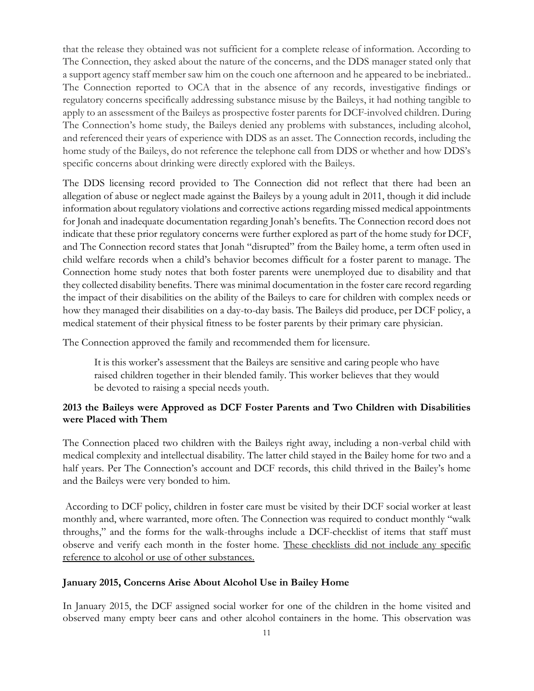that the release they obtained was not sufficient for a complete release of information. According to The Connection, they asked about the nature of the concerns, and the DDS manager stated only that a support agency staff member saw him on the couch one afternoon and he appeared to be inebriated.. The Connection reported to OCA that in the absence of any records, investigative findings or regulatory concerns specifically addressing substance misuse by the Baileys, it had nothing tangible to apply to an assessment of the Baileys as prospective foster parents for DCF-involved children. During The Connection's home study, the Baileys denied any problems with substances, including alcohol, and referenced their years of experience with DDS as an asset. The Connection records, including the home study of the Baileys, do not reference the telephone call from DDS or whether and how DDS's specific concerns about drinking were directly explored with the Baileys.

The DDS licensing record provided to The Connection did not reflect that there had been an allegation of abuse or neglect made against the Baileys by a young adult in 2011, though it did include information about regulatory violations and corrective actions regarding missed medical appointments for Jonah and inadequate documentation regarding Jonah's benefits. The Connection record does not indicate that these prior regulatory concerns were further explored as part of the home study for DCF, and The Connection record states that Jonah "disrupted" from the Bailey home, a term often used in child welfare records when a child's behavior becomes difficult for a foster parent to manage. The Connection home study notes that both foster parents were unemployed due to disability and that they collected disability benefits. There was minimal documentation in the foster care record regarding the impact of their disabilities on the ability of the Baileys to care for children with complex needs or how they managed their disabilities on a day-to-day basis. The Baileys did produce, per DCF policy, a medical statement of their physical fitness to be foster parents by their primary care physician.

The Connection approved the family and recommended them for licensure.

It is this worker's assessment that the Baileys are sensitive and caring people who have raised children together in their blended family. This worker believes that they would be devoted to raising a special needs youth.

#### **2013 the Baileys were Approved as DCF Foster Parents and Two Children with Disabilities were Placed with Them**

The Connection placed two children with the Baileys right away, including a non-verbal child with medical complexity and intellectual disability. The latter child stayed in the Bailey home for two and a half years. Per The Connection's account and DCF records, this child thrived in the Bailey's home and the Baileys were very bonded to him.

According to DCF policy, children in foster care must be visited by their DCF social worker at least monthly and, where warranted, more often. The Connection was required to conduct monthly "walk throughs," and the forms for the walk-throughs include a DCF-checklist of items that staff must observe and verify each month in the foster home. These checklists did not include any specific reference to alcohol or use of other substances.

#### **January 2015, Concerns Arise About Alcohol Use in Bailey Home**

In January 2015, the DCF assigned social worker for one of the children in the home visited and observed many empty beer cans and other alcohol containers in the home. This observation was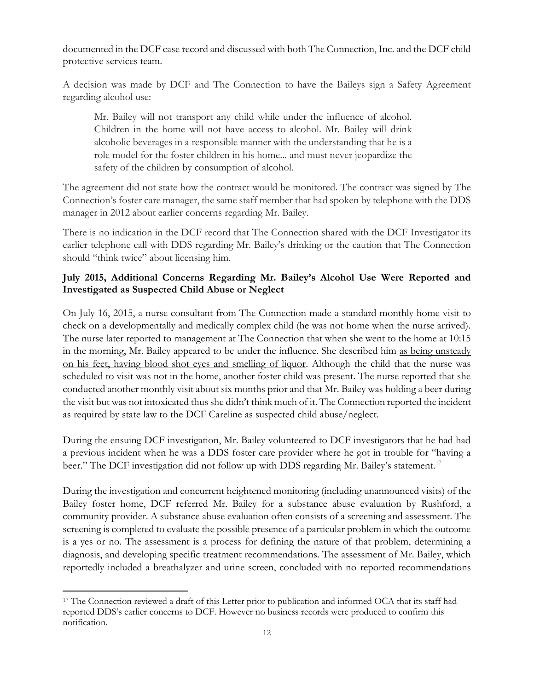documented in the DCF case record and discussed with both The Connection, Inc. and the DCF child protective services team.

A decision was made by DCF and The Connection to have the Baileys sign a Safety Agreement regarding alcohol use:

Mr. Bailey will not transport any child while under the influence of alcohol. Children in the home will not have access to alcohol. Mr. Bailey will drink alcoholic beverages in a responsible manner with the understanding that he is a role model for the foster children in his home... and must never jeopardize the safety of the children by consumption of alcohol.

The agreement did not state how the contract would be monitored. The contract was signed by The Connection's foster care manager, the same staff member that had spoken by telephone with the DDS manager in 2012 about earlier concerns regarding Mr. Bailey.

There is no indication in the DCF record that The Connection shared with the DCF Investigator its earlier telephone call with DDS regarding Mr. Bailey's drinking or the caution that The Connection should "think twice" about licensing him.

### **July 2015, Additional Concerns Regarding Mr. Bailey's Alcohol Use Were Reported and Investigated as Suspected Child Abuse or Neglect**

On July 16, 2015, a nurse consultant from The Connection made a standard monthly home visit to check on a developmentally and medically complex child (he was not home when the nurse arrived). The nurse later reported to management at The Connection that when she went to the home at 10:15 in the morning, Mr. Bailey appeared to be under the influence. She described him as being unsteady on his feet, having blood shot eyes and smelling of liquor. Although the child that the nurse was scheduled to visit was not in the home, another foster child was present. The nurse reported that she conducted another monthly visit about six months prior and that Mr. Bailey was holding a beer during the visit but was not intoxicated thus she didn't think much of it. The Connection reported the incident as required by state law to the DCF Careline as suspected child abuse/neglect.

During the ensuing DCF investigation, Mr. Bailey volunteered to DCF investigators that he had had a previous incident when he was a DDS foster care provider where he got in trouble for "having a beer." The DCF investigation did not follow up with DDS regarding Mr. Bailey's statement.<sup>17</sup>

During the investigation and concurrent heightened monitoring (including unannounced visits) of the Bailey foster home, DCF referred Mr. Bailey for a substance abuse evaluation by Rushford, a community provider. A substance abuse evaluation often consists of a screening and assessment. The screening is completed to evaluate the possible presence of a particular problem in which the outcome is a yes or no. The assessment is a process for defining the nature of that problem, determining a diagnosis, and developing specific treatment recommendations. The assessment of Mr. Bailey, which reportedly included a breathalyzer and urine screen, concluded with no reported recommendations

<sup>&</sup>lt;sup>17</sup> The Connection reviewed a draft of this Letter prior to publication and informed OCA that its staff had reported DDS's earlier concerns to DCF. However no business records were produced to confirm this notification.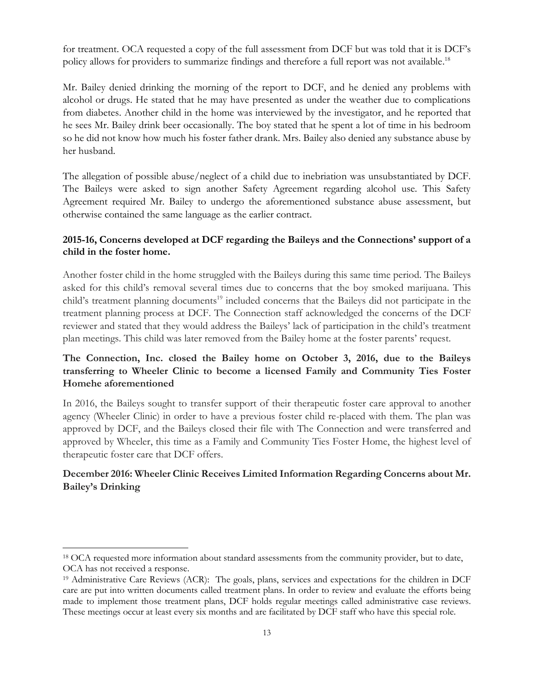for treatment. OCA requested a copy of the full assessment from DCF but was told that it is DCF's policy allows for providers to summarize findings and therefore a full report was not available.<sup>18</sup>

Mr. Bailey denied drinking the morning of the report to DCF, and he denied any problems with alcohol or drugs. He stated that he may have presented as under the weather due to complications from diabetes. Another child in the home was interviewed by the investigator, and he reported that he sees Mr. Bailey drink beer occasionally. The boy stated that he spent a lot of time in his bedroom so he did not know how much his foster father drank. Mrs. Bailey also denied any substance abuse by her husband.

The allegation of possible abuse/neglect of a child due to inebriation was unsubstantiated by DCF. The Baileys were asked to sign another Safety Agreement regarding alcohol use. This Safety Agreement required Mr. Bailey to undergo the aforementioned substance abuse assessment, but otherwise contained the same language as the earlier contract.

#### **2015-16, Concerns developed at DCF regarding the Baileys and the Connections' support of a child in the foster home.**

Another foster child in the home struggled with the Baileys during this same time period. The Baileys asked for this child's removal several times due to concerns that the boy smoked marijuana. This child's treatment planning documents<sup>19</sup> included concerns that the Baileys did not participate in the treatment planning process at DCF. The Connection staff acknowledged the concerns of the DCF reviewer and stated that they would address the Baileys' lack of participation in the child's treatment plan meetings. This child was later removed from the Bailey home at the foster parents' request.

### **The Connection, Inc. closed the Bailey home on October 3, 2016, due to the Baileys transferring to Wheeler Clinic to become a licensed Family and Community Ties Foster Homehe aforementioned**

In 2016, the Baileys sought to transfer support of their therapeutic foster care approval to another agency (Wheeler Clinic) in order to have a previous foster child re-placed with them. The plan was approved by DCF, and the Baileys closed their file with The Connection and were transferred and approved by Wheeler, this time as a Family and Community Ties Foster Home, the highest level of therapeutic foster care that DCF offers.

### **December 2016: Wheeler Clinic Receives Limited Information Regarding Concerns about Mr. Bailey's Drinking**

<sup>&</sup>lt;sup>18</sup> OCA requested more information about standard assessments from the community provider, but to date, OCA has not received a response.

<sup>19</sup> Administrative Care Reviews (ACR): The goals, plans, services and expectations for the children in DCF care are put into written documents called treatment plans. In order to review and evaluate the efforts being made to implement those treatment plans, DCF holds regular meetings called administrative case reviews. These meetings occur at least every six months and are facilitated by DCF staff who have this special role.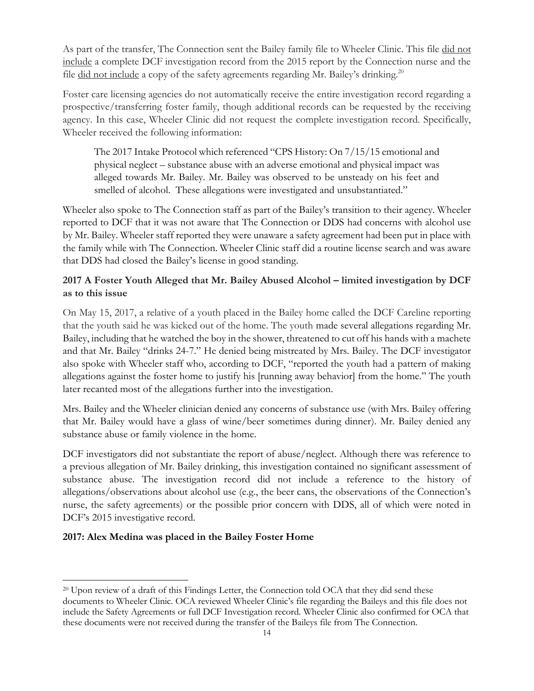As part of the transfer, The Connection sent the Bailey family file to Wheeler Clinic. This file did not include a complete DCF investigation record from the 2015 report by the Connection nurse and the file did not include a copy of the safety agreements regarding Mr. Bailey's drinking.<sup>20</sup>

Foster care licensing agencies do not automatically receive the entire investigation record regarding a prospective/transferring foster family, though additional records can be requested by the receiving agency. In this case, Wheeler Clinic did not request the complete investigation record. Specifically, Wheeler received the following information:

The 2017 Intake Protocol which referenced "CPS History: On 7/15/15 emotional and physical neglect – substance abuse with an adverse emotional and physical impact was alleged towards Mr. Bailey. Mr. Bailey was observed to be unsteady on his feet and smelled of alcohol. These allegations were investigated and unsubstantiated."

Wheeler also spoke to The Connection staff as part of the Bailey's transition to their agency. Wheeler reported to DCF that it was not aware that The Connection or DDS had concerns with alcohol use by Mr. Bailey. Wheeler staff reported they were unaware a safety agreement had been put in place with the family while with The Connection. Wheeler Clinic staff did a routine license search and was aware that DDS had closed the Bailey's license in good standing.

## **2017 A Foster Youth Alleged that Mr. Bailey Abused Alcohol – limited investigation by DCF as to this issue**

On May 15, 2017, a relative of a youth placed in the Bailey home called the DCF Careline reporting that the youth said he was kicked out of the home. The youth made several allegations regarding Mr. Bailey, including that he watched the boy in the shower, threatened to cut off his hands with a machete and that Mr. Bailey "drinks 24-7." He denied being mistreated by Mrs. Bailey. The DCF investigator also spoke with Wheeler staff who, according to DCF, "reported the youth had a pattern of making allegations against the foster home to justify his [running away behavior] from the home." The youth later recanted most of the allegations further into the investigation.

Mrs. Bailey and the Wheeler clinician denied any concerns of substance use (with Mrs. Bailey offering that Mr. Bailey would have a glass of wine/beer sometimes during dinner). Mr. Bailey denied any substance abuse or family violence in the home.

DCF investigators did not substantiate the report of abuse/neglect. Although there was reference to a previous allegation of Mr. Bailey drinking, this investigation contained no significant assessment of substance abuse. The investigation record did not include a reference to the history of allegations/observations about alcohol use (e.g., the beer cans, the observations of the Connection's nurse, the safety agreements) or the possible prior concern with DDS, all of which were noted in DCF's 2015 investigative record.

### **2017: Alex Medina was placed in the Bailey Foster Home**

<sup>20</sup> Upon review of a draft of this Findings Letter, the Connection told OCA that they did send these documents to Wheeler Clinic. OCA reviewed Wheeler Clinic's file regarding the Baileys and this file does not include the Safety Agreements or full DCF Investigation record. Wheeler Clinic also confirmed for OCA that these documents were not received during the transfer of the Baileys file from The Connection.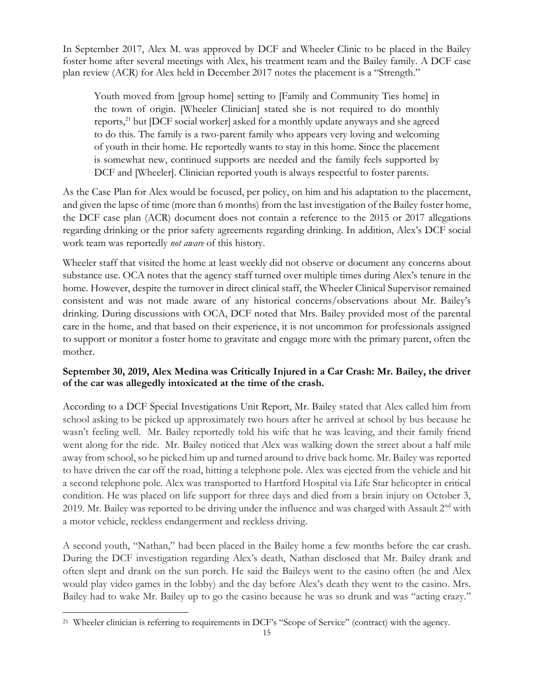In September 2017, Alex M. was approved by DCF and Wheeler Clinic to be placed in the Bailey foster home after several meetings with Alex, his treatment team and the Bailey family. A DCF case plan review (ACR) for Alex held in December 2017 notes the placement is a "Strength."

Youth moved from [group home] setting to [Family and Community Ties home] in the town of origin. [Wheeler Clinician] stated she is not required to do monthly reports, $^{21}$  but [DCF social worker] asked for a monthly update anyways and she agreed to do this. The family is a two-parent family who appears very loving and welcoming of youth in their home. He reportedly wants to stay in this home. Since the placement is somewhat new, continued supports are needed and the family feels supported by DCF and [Wheeler]. Clinician reported youth is always respectful to foster parents.

As the Case Plan for Alex would be focused, per policy, on him and his adaptation to the placement, and given the lapse of time (more than 6 months) from the last investigation of the Bailey foster home, the DCF case plan (ACR) document does not contain a reference to the 2015 or 2017 allegations regarding drinking or the prior safety agreements regarding drinking. In addition, Alex's DCF social work team was reportedly *not aware* of this history.

Wheeler staff that visited the home at least weekly did not observe or document any concerns about substance use. OCA notes that the agency staff turned over multiple times during Alex's tenure in the home. However, despite the turnover in direct clinical staff, the Wheeler Clinical Supervisor remained consistent and was not made aware of any historical concerns/observations about Mr. Bailey's drinking. During discussions with OCA, DCF noted that Mrs. Bailey provided most of the parental care in the home, and that based on their experience, it is not uncommon for professionals assigned to support or monitor a foster home to gravitate and engage more with the primary parent, often the mother.

### **September 30, 2019, Alex Medina was Critically Injured in a Car Crash: Mr. Bailey, the driver of the car was allegedly intoxicated at the time of the crash.**

According to a DCF Special Investigations Unit Report, Mr. Bailey stated that Alex called him from school asking to be picked up approximately two hours after he arrived at school by bus because he wasn't feeling well. Mr. Bailey reportedly told his wife that he was leaving, and their family friend went along for the ride. Mr. Bailey noticed that Alex was walking down the street about a half mile away from school, so he picked him up and turned around to drive back home. Mr. Bailey was reported to have driven the car off the road, hitting a telephone pole. Alex was ejected from the vehicle and hit a second telephone pole. Alex was transported to Hartford Hospital via Life Star helicopter in critical condition. He was placed on life support for three days and died from a brain injury on October 3, 2019. Mr. Bailey was reported to be driving under the influence and was charged with Assault 2<sup>nd</sup> with a motor vehicle, reckless endangerment and reckless driving.

A second youth, "Nathan," had been placed in the Bailey home a few months before the car crash. During the DCF investigation regarding Alex's death, Nathan disclosed that Mr. Bailey drank and often slept and drank on the sun porch. He said the Baileys went to the casino often (he and Alex would play video games in the lobby) and the day before Alex's death they went to the casino. Mrs. Bailey had to wake Mr. Bailey up to go the casino because he was so drunk and was "acting crazy."

<sup>21</sup> Wheeler clinician is referring to requirements in DCF's "Scope of Service" (contract) with the agency.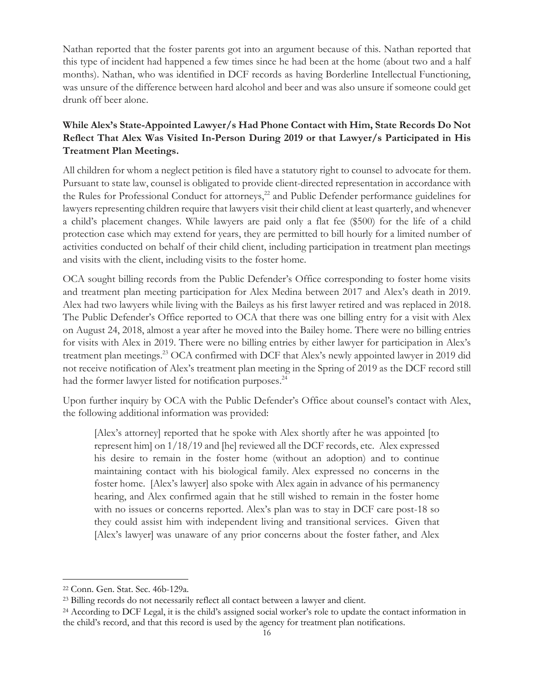Nathan reported that the foster parents got into an argument because of this. Nathan reported that this type of incident had happened a few times since he had been at the home (about two and a half months). Nathan, who was identified in DCF records as having Borderline Intellectual Functioning, was unsure of the difference between hard alcohol and beer and was also unsure if someone could get drunk off beer alone.

# **While Alex's State-Appointed Lawyer/s Had Phone Contact with Him, State Records Do Not Reflect That Alex Was Visited In-Person During 2019 or that Lawyer/s Participated in His Treatment Plan Meetings.**

All children for whom a neglect petition is filed have a statutory right to counsel to advocate for them. Pursuant to state law, counsel is obligated to provide client-directed representation in accordance with the Rules for Professional Conduct for attorneys,<sup>22</sup> and Public Defender performance guidelines for lawyers representing children require that lawyers visit their child client at least quarterly, and whenever a child's placement changes. While lawyers are paid only a flat fee (\$500) for the life of a child protection case which may extend for years, they are permitted to bill hourly for a limited number of activities conducted on behalf of their child client, including participation in treatment plan meetings and visits with the client, including visits to the foster home.

OCA sought billing records from the Public Defender's Office corresponding to foster home visits and treatment plan meeting participation for Alex Medina between 2017 and Alex's death in 2019. Alex had two lawyers while living with the Baileys as his first lawyer retired and was replaced in 2018. The Public Defender's Office reported to OCA that there was one billing entry for a visit with Alex on August 24, 2018, almost a year after he moved into the Bailey home. There were no billing entries for visits with Alex in 2019. There were no billing entries by either lawyer for participation in Alex's treatment plan meetings.<sup>23</sup> OCA confirmed with DCF that Alex's newly appointed lawyer in 2019 did not receive notification of Alex's treatment plan meeting in the Spring of 2019 as the DCF record still had the former lawyer listed for notification purposes.<sup>24</sup>

Upon further inquiry by OCA with the Public Defender's Office about counsel's contact with Alex, the following additional information was provided:

[Alex's attorney] reported that he spoke with Alex shortly after he was appointed [to represent him] on 1/18/19 and [he] reviewed all the DCF records, etc. Alex expressed his desire to remain in the foster home (without an adoption) and to continue maintaining contact with his biological family. Alex expressed no concerns in the foster home. [Alex's lawyer] also spoke with Alex again in advance of his permanency hearing, and Alex confirmed again that he still wished to remain in the foster home with no issues or concerns reported. Alex's plan was to stay in DCF care post-18 so they could assist him with independent living and transitional services. Given that [Alex's lawyer] was unaware of any prior concerns about the foster father, and Alex

<sup>22</sup> Conn. Gen. Stat. Sec. 46b-129a.

<sup>23</sup> Billing records do not necessarily reflect all contact between a lawyer and client.

<sup>24</sup> According to DCF Legal, it is the child's assigned social worker's role to update the contact information in the child's record, and that this record is used by the agency for treatment plan notifications.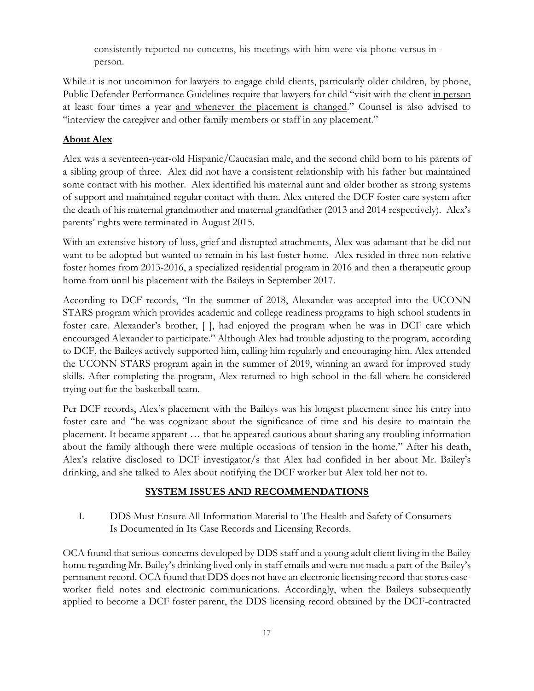consistently reported no concerns, his meetings with him were via phone versus inperson.

While it is not uncommon for lawyers to engage child clients, particularly older children, by phone, Public Defender Performance Guidelines require that lawyers for child "visit with the client in person at least four times a year and whenever the placement is changed." Counsel is also advised to "interview the caregiver and other family members or staff in any placement."

### **About Alex**

Alex was a seventeen-year-old Hispanic/Caucasian male, and the second child born to his parents of a sibling group of three. Alex did not have a consistent relationship with his father but maintained some contact with his mother. Alex identified his maternal aunt and older brother as strong systems of support and maintained regular contact with them. Alex entered the DCF foster care system after the death of his maternal grandmother and maternal grandfather (2013 and 2014 respectively). Alex's parents' rights were terminated in August 2015.

With an extensive history of loss, grief and disrupted attachments, Alex was adamant that he did not want to be adopted but wanted to remain in his last foster home. Alex resided in three non-relative foster homes from 2013-2016, a specialized residential program in 2016 and then a therapeutic group home from until his placement with the Baileys in September 2017.

According to DCF records, "In the summer of 2018, Alexander was accepted into the UCONN STARS program which provides academic and college readiness programs to high school students in foster care. Alexander's brother, [ ], had enjoyed the program when he was in DCF care which encouraged Alexander to participate." Although Alex had trouble adjusting to the program, according to DCF, the Baileys actively supported him, calling him regularly and encouraging him. Alex attended the UCONN STARS program again in the summer of 2019, winning an award for improved study skills. After completing the program, Alex returned to high school in the fall where he considered trying out for the basketball team.

Per DCF records, Alex's placement with the Baileys was his longest placement since his entry into foster care and "he was cognizant about the significance of time and his desire to maintain the placement. It became apparent … that he appeared cautious about sharing any troubling information about the family although there were multiple occasions of tension in the home." After his death, Alex's relative disclosed to DCF investigator/s that Alex had confided in her about Mr. Bailey's drinking, and she talked to Alex about notifying the DCF worker but Alex told her not to.

#### **SYSTEM ISSUES AND RECOMMENDATIONS**

I. DDS Must Ensure All Information Material to The Health and Safety of Consumers Is Documented in Its Case Records and Licensing Records.

OCA found that serious concerns developed by DDS staff and a young adult client living in the Bailey home regarding Mr. Bailey's drinking lived only in staff emails and were not made a part of the Bailey's permanent record. OCA found that DDS does not have an electronic licensing record that stores caseworker field notes and electronic communications. Accordingly, when the Baileys subsequently applied to become a DCF foster parent, the DDS licensing record obtained by the DCF-contracted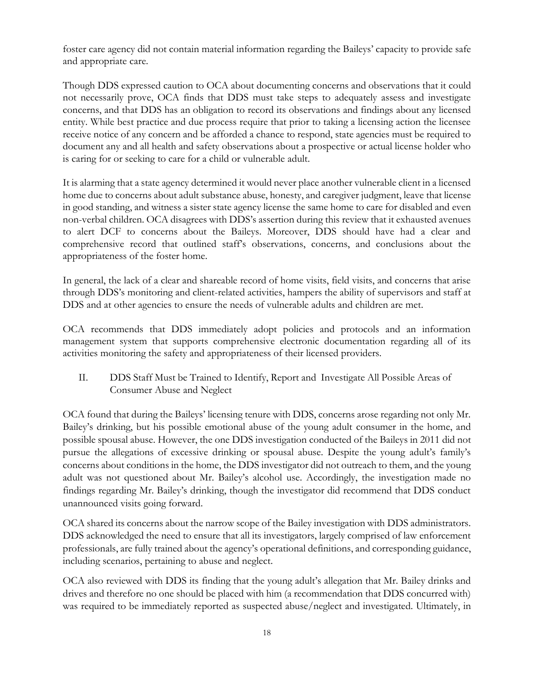foster care agency did not contain material information regarding the Baileys' capacity to provide safe and appropriate care.

Though DDS expressed caution to OCA about documenting concerns and observations that it could not necessarily prove, OCA finds that DDS must take steps to adequately assess and investigate concerns, and that DDS has an obligation to record its observations and findings about any licensed entity. While best practice and due process require that prior to taking a licensing action the licensee receive notice of any concern and be afforded a chance to respond, state agencies must be required to document any and all health and safety observations about a prospective or actual license holder who is caring for or seeking to care for a child or vulnerable adult.

It is alarming that a state agency determined it would never place another vulnerable client in a licensed home due to concerns about adult substance abuse, honesty, and caregiver judgment, leave that license in good standing, and witness a sister state agency license the same home to care for disabled and even non-verbal children. OCA disagrees with DDS's assertion during this review that it exhausted avenues to alert DCF to concerns about the Baileys. Moreover, DDS should have had a clear and comprehensive record that outlined staff's observations, concerns, and conclusions about the appropriateness of the foster home.

In general, the lack of a clear and shareable record of home visits, field visits, and concerns that arise through DDS's monitoring and client-related activities, hampers the ability of supervisors and staff at DDS and at other agencies to ensure the needs of vulnerable adults and children are met.

OCA recommends that DDS immediately adopt policies and protocols and an information management system that supports comprehensive electronic documentation regarding all of its activities monitoring the safety and appropriateness of their licensed providers.

II. DDS Staff Must be Trained to Identify, Report and Investigate All Possible Areas of Consumer Abuse and Neglect

OCA found that during the Baileys' licensing tenure with DDS, concerns arose regarding not only Mr. Bailey's drinking, but his possible emotional abuse of the young adult consumer in the home, and possible spousal abuse. However, the one DDS investigation conducted of the Baileys in 2011 did not pursue the allegations of excessive drinking or spousal abuse. Despite the young adult's family's concerns about conditions in the home, the DDS investigator did not outreach to them, and the young adult was not questioned about Mr. Bailey's alcohol use. Accordingly, the investigation made no findings regarding Mr. Bailey's drinking, though the investigator did recommend that DDS conduct unannounced visits going forward.

OCA shared its concerns about the narrow scope of the Bailey investigation with DDS administrators. DDS acknowledged the need to ensure that all its investigators, largely comprised of law enforcement professionals, are fully trained about the agency's operational definitions, and corresponding guidance, including scenarios, pertaining to abuse and neglect.

OCA also reviewed with DDS its finding that the young adult's allegation that Mr. Bailey drinks and drives and therefore no one should be placed with him (a recommendation that DDS concurred with) was required to be immediately reported as suspected abuse/neglect and investigated. Ultimately, in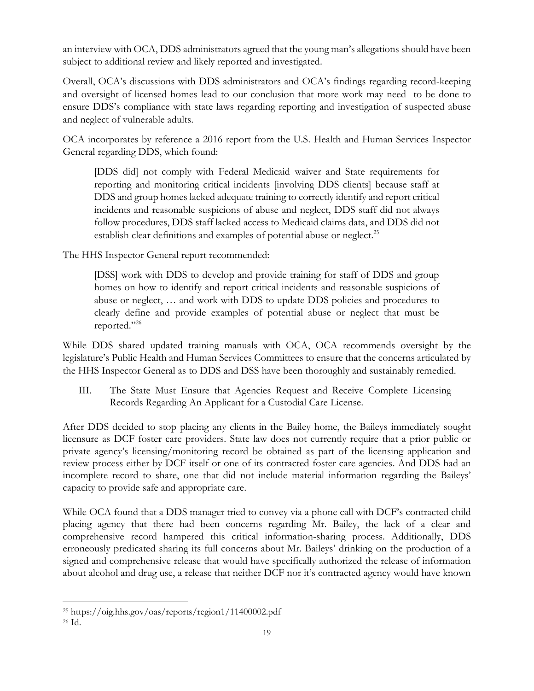an interview with OCA, DDS administrators agreed that the young man's allegations should have been subject to additional review and likely reported and investigated.

Overall, OCA's discussions with DDS administrators and OCA's findings regarding record-keeping and oversight of licensed homes lead to our conclusion that more work may need to be done to ensure DDS's compliance with state laws regarding reporting and investigation of suspected abuse and neglect of vulnerable adults.

OCA incorporates by reference a 2016 report from the U.S. Health and Human Services Inspector General regarding DDS, which found:

[DDS did] not comply with Federal Medicaid waiver and State requirements for reporting and monitoring critical incidents [involving DDS clients] because staff at DDS and group homes lacked adequate training to correctly identify and report critical incidents and reasonable suspicions of abuse and neglect, DDS staff did not always follow procedures, DDS staff lacked access to Medicaid claims data, and DDS did not establish clear definitions and examples of potential abuse or neglect.<sup>25</sup>

The HHS Inspector General report recommended:

[DSS] work with DDS to develop and provide training for staff of DDS and group homes on how to identify and report critical incidents and reasonable suspicions of abuse or neglect, … and work with DDS to update DDS policies and procedures to clearly define and provide examples of potential abuse or neglect that must be reported."<sup>26</sup>

While DDS shared updated training manuals with OCA, OCA recommends oversight by the legislature's Public Health and Human Services Committees to ensure that the concerns articulated by the HHS Inspector General as to DDS and DSS have been thoroughly and sustainably remedied.

III. The State Must Ensure that Agencies Request and Receive Complete Licensing Records Regarding An Applicant for a Custodial Care License.

After DDS decided to stop placing any clients in the Bailey home, the Baileys immediately sought licensure as DCF foster care providers. State law does not currently require that a prior public or private agency's licensing/monitoring record be obtained as part of the licensing application and review process either by DCF itself or one of its contracted foster care agencies. And DDS had an incomplete record to share, one that did not include material information regarding the Baileys' capacity to provide safe and appropriate care.

While OCA found that a DDS manager tried to convey via a phone call with DCF's contracted child placing agency that there had been concerns regarding Mr. Bailey, the lack of a clear and comprehensive record hampered this critical information-sharing process. Additionally, DDS erroneously predicated sharing its full concerns about Mr. Baileys' drinking on the production of a signed and comprehensive release that would have specifically authorized the release of information about alcohol and drug use, a release that neither DCF nor it's contracted agency would have known

<sup>25</sup> https://oig.hhs.gov/oas/reports/region1/11400002.pdf <sup>26</sup> Id.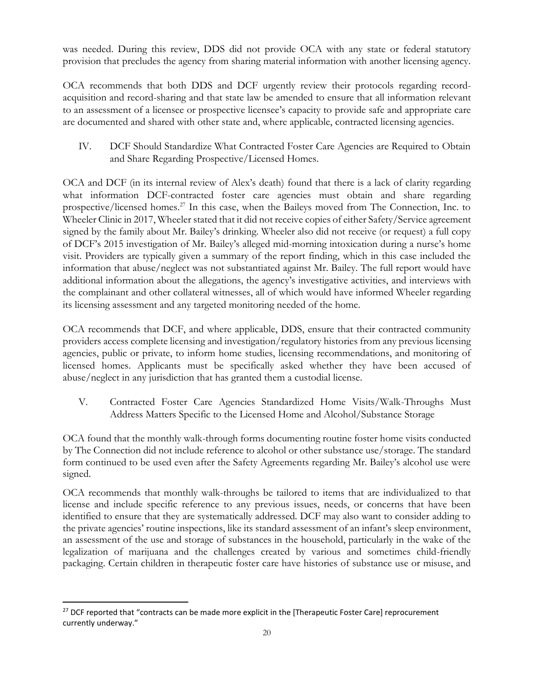was needed. During this review, DDS did not provide OCA with any state or federal statutory provision that precludes the agency from sharing material information with another licensing agency.

OCA recommends that both DDS and DCF urgently review their protocols regarding recordacquisition and record-sharing and that state law be amended to ensure that all information relevant to an assessment of a licensee or prospective licensee's capacity to provide safe and appropriate care are documented and shared with other state and, where applicable, contracted licensing agencies.

IV. DCF Should Standardize What Contracted Foster Care Agencies are Required to Obtain and Share Regarding Prospective/Licensed Homes.

OCA and DCF (in its internal review of Alex's death) found that there is a lack of clarity regarding what information DCF-contracted foster care agencies must obtain and share regarding prospective/licensed homes.<sup>27</sup> In this case, when the Baileys moved from The Connection, Inc. to Wheeler Clinic in 2017, Wheeler stated that it did not receive copies of either Safety/Service agreement signed by the family about Mr. Bailey's drinking. Wheeler also did not receive (or request) a full copy of DCF's 2015 investigation of Mr. Bailey's alleged mid-morning intoxication during a nurse's home visit. Providers are typically given a summary of the report finding, which in this case included the information that abuse/neglect was not substantiated against Mr. Bailey. The full report would have additional information about the allegations, the agency's investigative activities, and interviews with the complainant and other collateral witnesses, all of which would have informed Wheeler regarding its licensing assessment and any targeted monitoring needed of the home.

OCA recommends that DCF, and where applicable, DDS, ensure that their contracted community providers access complete licensing and investigation/regulatory histories from any previous licensing agencies, public or private, to inform home studies, licensing recommendations, and monitoring of licensed homes. Applicants must be specifically asked whether they have been accused of abuse/neglect in any jurisdiction that has granted them a custodial license.

V. Contracted Foster Care Agencies Standardized Home Visits/Walk-Throughs Must Address Matters Specific to the Licensed Home and Alcohol/Substance Storage

OCA found that the monthly walk-through forms documenting routine foster home visits conducted by The Connection did not include reference to alcohol or other substance use/storage. The standard form continued to be used even after the Safety Agreements regarding Mr. Bailey's alcohol use were signed.

OCA recommends that monthly walk-throughs be tailored to items that are individualized to that license and include specific reference to any previous issues, needs, or concerns that have been identified to ensure that they are systematically addressed. DCF may also want to consider adding to the private agencies' routine inspections, like its standard assessment of an infant's sleep environment, an assessment of the use and storage of substances in the household, particularly in the wake of the legalization of marijuana and the challenges created by various and sometimes child-friendly packaging. Certain children in therapeutic foster care have histories of substance use or misuse, and

<sup>&</sup>lt;sup>27</sup> DCF reported that "contracts can be made more explicit in the [Therapeutic Foster Care] reprocurement currently underway."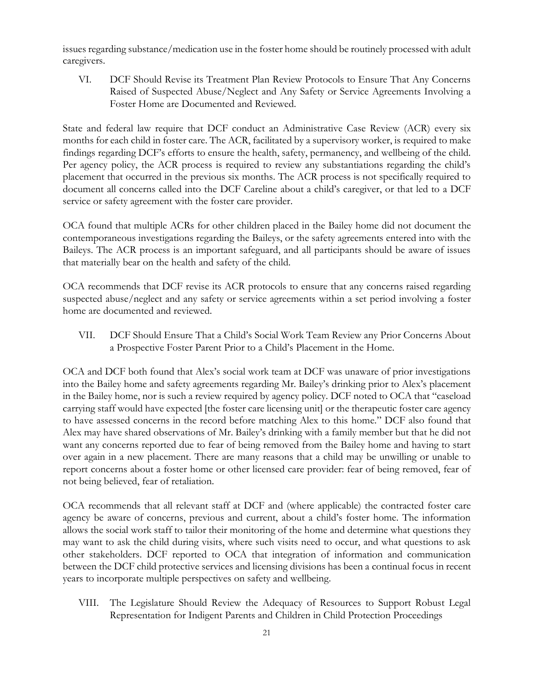issues regarding substance/medication use in the foster home should be routinely processed with adult caregivers.

VI. DCF Should Revise its Treatment Plan Review Protocols to Ensure That Any Concerns Raised of Suspected Abuse/Neglect and Any Safety or Service Agreements Involving a Foster Home are Documented and Reviewed.

State and federal law require that DCF conduct an Administrative Case Review (ACR) every six months for each child in foster care. The ACR, facilitated by a supervisory worker, is required to make findings regarding DCF's efforts to ensure the health, safety, permanency, and wellbeing of the child. Per agency policy, the ACR process is required to review any substantiations regarding the child's placement that occurred in the previous six months. The ACR process is not specifically required to document all concerns called into the DCF Careline about a child's caregiver, or that led to a DCF service or safety agreement with the foster care provider.

OCA found that multiple ACRs for other children placed in the Bailey home did not document the contemporaneous investigations regarding the Baileys, or the safety agreements entered into with the Baileys. The ACR process is an important safeguard, and all participants should be aware of issues that materially bear on the health and safety of the child.

OCA recommends that DCF revise its ACR protocols to ensure that any concerns raised regarding suspected abuse/neglect and any safety or service agreements within a set period involving a foster home are documented and reviewed.

VII. DCF Should Ensure That a Child's Social Work Team Review any Prior Concerns About a Prospective Foster Parent Prior to a Child's Placement in the Home.

OCA and DCF both found that Alex's social work team at DCF was unaware of prior investigations into the Bailey home and safety agreements regarding Mr. Bailey's drinking prior to Alex's placement in the Bailey home, nor is such a review required by agency policy. DCF noted to OCA that "caseload carrying staff would have expected [the foster care licensing unit] or the therapeutic foster care agency to have assessed concerns in the record before matching Alex to this home." DCF also found that Alex may have shared observations of Mr. Bailey's drinking with a family member but that he did not want any concerns reported due to fear of being removed from the Bailey home and having to start over again in a new placement. There are many reasons that a child may be unwilling or unable to report concerns about a foster home or other licensed care provider: fear of being removed, fear of not being believed, fear of retaliation.

OCA recommends that all relevant staff at DCF and (where applicable) the contracted foster care agency be aware of concerns, previous and current, about a child's foster home. The information allows the social work staff to tailor their monitoring of the home and determine what questions they may want to ask the child during visits, where such visits need to occur, and what questions to ask other stakeholders. DCF reported to OCA that integration of information and communication between the DCF child protective services and licensing divisions has been a continual focus in recent years to incorporate multiple perspectives on safety and wellbeing.

VIII. The Legislature Should Review the Adequacy of Resources to Support Robust Legal Representation for Indigent Parents and Children in Child Protection Proceedings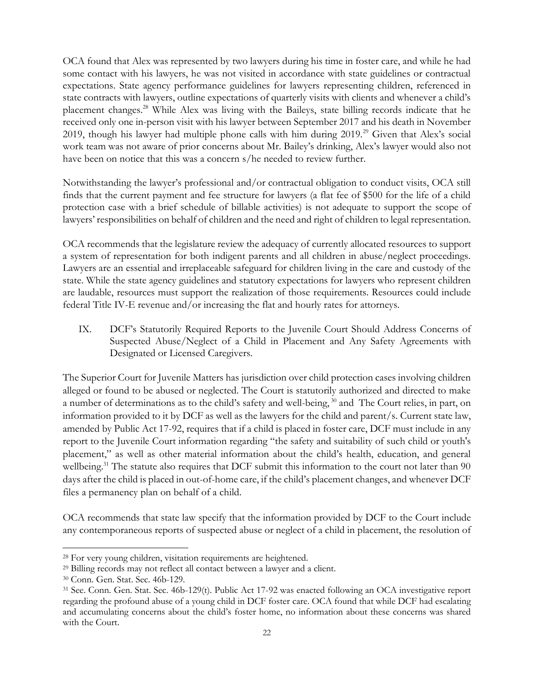OCA found that Alex was represented by two lawyers during his time in foster care, and while he had some contact with his lawyers, he was not visited in accordance with state guidelines or contractual expectations. State agency performance guidelines for lawyers representing children, referenced in state contracts with lawyers, outline expectations of quarterly visits with clients and whenever a child's placement changes.<sup>28</sup> While Alex was living with the Baileys, state billing records indicate that he received only one in-person visit with his lawyer between September 2017 and his death in November 2019, though his lawyer had multiple phone calls with him during 2019.<sup>29</sup> Given that Alex's social work team was not aware of prior concerns about Mr. Bailey's drinking, Alex's lawyer would also not have been on notice that this was a concern s/he needed to review further.

Notwithstanding the lawyer's professional and/or contractual obligation to conduct visits, OCA still finds that the current payment and fee structure for lawyers (a flat fee of \$500 for the life of a child protection case with a brief schedule of billable activities) is not adequate to support the scope of lawyers' responsibilities on behalf of children and the need and right of children to legal representation.

OCA recommends that the legislature review the adequacy of currently allocated resources to support a system of representation for both indigent parents and all children in abuse/neglect proceedings. Lawyers are an essential and irreplaceable safeguard for children living in the care and custody of the state. While the state agency guidelines and statutory expectations for lawyers who represent children are laudable, resources must support the realization of those requirements. Resources could include federal Title IV-E revenue and/or increasing the flat and hourly rates for attorneys.

IX. DCF's Statutorily Required Reports to the Juvenile Court Should Address Concerns of Suspected Abuse/Neglect of a Child in Placement and Any Safety Agreements with Designated or Licensed Caregivers.

The Superior Court for Juvenile Matters has jurisdiction over child protection cases involving children alleged or found to be abused or neglected. The Court is statutorily authorized and directed to make a number of determinations as to the child's safety and well-being,<sup>30</sup> and The Court relies, in part, on information provided to it by DCF as well as the lawyers for the child and parent/s. Current state law, amended by Public Act 17-92, requires that if a child is placed in foster care, DCF must include in any report to the Juvenile Court information regarding "the safety and suitability of such child or youth's placement," as well as other material information about the child's health, education, and general wellbeing.<sup>31</sup> The statute also requires that DCF submit this information to the court not later than 90 days after the child is placed in out-of-home care, if the child's placement changes, and whenever DCF files a permanency plan on behalf of a child.

OCA recommends that state law specify that the information provided by DCF to the Court include any contemporaneous reports of suspected abuse or neglect of a child in placement, the resolution of

<sup>28</sup> For very young children, visitation requirements are heightened.

<sup>29</sup> Billing records may not reflect all contact between a lawyer and a client.

<sup>30</sup> Conn. Gen. Stat. Sec. 46b-129.

<sup>31</sup> See. Conn. Gen. Stat. Sec. 46b-129(t). Public Act 17-92 was enacted following an OCA investigative report regarding the profound abuse of a young child in DCF foster care. OCA found that while DCF had escalating and accumulating concerns about the child's foster home, no information about these concerns was shared with the Court.